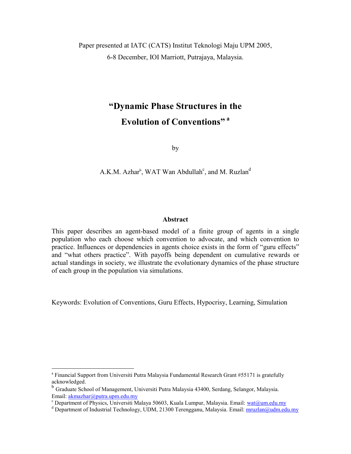Paper presented at IATC (CATS) Institut Teknologi Maju UPM 2005, 6-8 December, IOI Marriott, Putrajaya, Malaysia.

# **"Dynamic Phase Structures in the Evolution of Conventions" <sup>a</sup>**

by

A.K.M. Azhar<sup>b</sup>, WAT Wan Abdullah<sup>c</sup>, and M. Ruzlan<sup>d</sup>

#### **Abstract**

This paper describes an agent-based model of a finite group of agents in a single population who each choose which convention to advocate, and which convention to practice. Influences or dependencies in agents choice exists in the form of "guru effects" and "what others practice". With payoffs being dependent on cumulative rewards or actual standings in society, we illustrate the evolutionary dynamics of the phase structure of each group in the population via simulations.

Keywords: Evolution of Conventions, Guru Effects, Hypocrisy, Learning, Simulation

 $\overline{a}$ 

<sup>&</sup>lt;sup>a</sup> Financial Support from Universiti Putra Malaysia Fundamental Research Grant #55171 is gratefully acknowledged.

<sup>&</sup>lt;sup>b</sup> Graduate School of Management, Universiti Putra Malaysia 43400, Serdang, Selangor, Malaysia. Email: [akmazhar@putra.upm.edu.my](mailto:akmazhar@putra.upm.edu.my)

<sup>&</sup>lt;sup>c</sup> Department of Physics, Universiti Malaya 50603, Kuala Lumpur, Malaysia. Email: [wat@um.edu.my](mailto:wat@um.edu.my)

<sup>&</sup>lt;sup>d</sup> Department of Industrial Technology, UDM, 21300 Terengganu, Malaysia. Email: [mruzlan@udm.edu.my](mailto:mruzlan@udm.edu.my)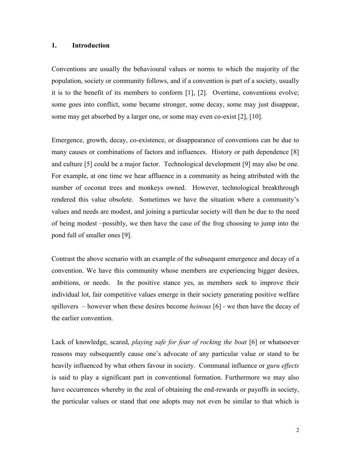### **1. Introduction**

Conventions are usually the behavioural values or norms to which the majority of the population, society or community follows, and if a convention is part of a society, usually it is to the benefit of its members to conform [1], [2]. Overtime, conventions evolve; some goes into conflict, some became stronger, some decay, some may just disappear, some may get absorbed by a larger one, or some may even co-exist [2], [10].

Emergence, growth, decay, co-existence, or disappearance of conventions can be due to many causes or combinations of factors and influences. History or path dependence [8] and culture [5] could be a major factor. Technological development [9] may also be one. For example, at one time we hear affluence in a community as being attributed with the number of coconut trees and monkeys owned. However, technological breakthrough rendered this value obsolete. Sometimes we have the situation where a community's values and needs are modest, and joining a particular society will then be due to the need of being modest –possibly, we then have the case of the frog choosing to jump into the pond full of smaller ones [9].

Contrast the above scenario with an example of the subsequent emergence and decay of a convention. We have this community whose members are experiencing bigger desires, ambitions, or needs. In the positive stance yes, as members seek to improve their individual lot, fair competitive values emerge in their society generating positive welfare spillovers – however when these desires become *heinous* [6] *-* we then have the decay of the earlier convention.

Lack of knowledge, scared, *playing safe for fear of rocking the boat* [6] or whatsoever reasons may subsequently cause one's advocate of any particular value or stand to be heavily influenced by what others favour in society. Communal influence or *guru effects* is said to play a significant part in conventional formation. Furthermore we may also have occurrences whereby in the zeal of obtaining the end-rewards or payoffs in society, the particular values or stand that one adopts may not even be similar to that which is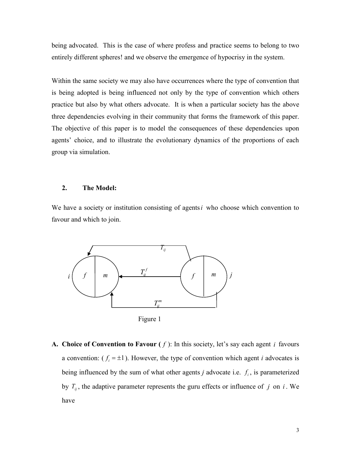being advocated. This is the case of where profess and practice seems to belong to two entirely different spheres! and we observe the emergence of hypocrisy in the system.

Within the same society we may also have occurrences where the type of convention that is being adopted is being influenced not only by the type of convention which others practice but also by what others advocate. It is when a particular society has the above three dependencies evolving in their community that forms the framework of this paper. The objective of this paper is to model the consequences of these dependencies upon agents' choice, and to illustrate the evolutionary dynamics of the proportions of each group via simulation.

#### **2. The Model:**

We have a society or institution consisting of agents *i* who choose which convention to favour and which to join.



Figure 1

**A.** Choice of Convention to Favour  $(f)$ : In this society, let's say each agent *i* favours a convention:  $(f_i = \pm 1)$ . However, the type of convention which agent *i* advocates is being influenced by the sum of what other agents *j* advocate i.e.  $f_i$ , is parameterized by  $T_{ij}$ , the adaptive parameter represents the guru effects or influence of  $j$  on  $i$ . We have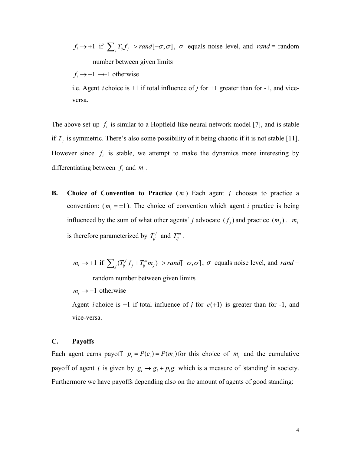$f_i \to +1$  if  $\sum_j T_{ij} f_j > rand[-\sigma, \sigma]$ ,  $\sigma$  equals noise level, and rand = random number between given limits

 $f_i \rightarrow -1 \rightarrow -1$  otherwise

i.e. Agent *i* choice is  $+1$  if total influence of *j* for  $+1$  greater than for  $-1$ , and viceversa.

The above set-up  $f_i$  is similar to a Hopfield-like neural network model [7], and is stable if  $T_{ij}$  is symmetric. There's also some possibility of it being chaotic if it is not stable [11]. However since  $f_i$  is stable, we attempt to make the dynamics more interesting by differentiating between  $f_i$  and  $m_i$ .

- **B.** Choice of Convention to Practice  $(m)$  Each agent *i* chooses to practice a convention:  $(m_i = \pm 1)$ . The choice of convention which agent *i* practice is being influenced by the sum of what other agents' *j* advocate  $(f_j)$  and practice  $(m_j)$ .  $m_i$ is therefore parameterized by  $T_{ij}^f$  and  $T_{ij}^m$ .
	- $m_i \to +1$  if  $\sum_j (T_{ij}^f f_j + T_{ij}^m m_j)$  > rand  $[-\sigma, \sigma]$ ,  $\sigma$  equals noise level, and rand = random number between given limits

 $m_i \rightarrow -1$  otherwise

Agent *i* choice is  $+1$  if total influence of *j* for  $c(+1)$  is greater than for  $-1$ , and vice-versa.

### **C. Payoffs**

Each agent earns payoff  $p_i = P(c_i) = P(m_i)$  for this choice of  $m_i$  and the cumulative payoff of agent *i* is given by  $g_i \rightarrow g_i + p_i g$  which is a measure of 'standing' in society. Furthermore we have payoffs depending also on the amount of agents of good standing: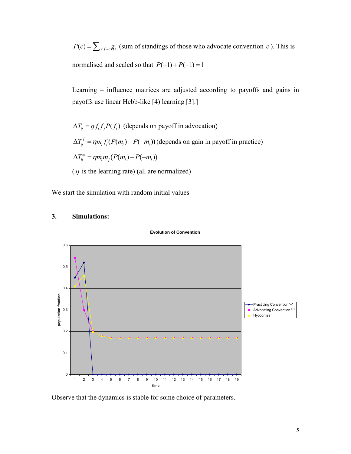$P(c) = \sum_{i: f = c} g_i$  (sum of standings of those who advocate convention c). This is normalised and scaled so that  $P(+1) + P(-1) = 1$ 

Learning – influence matrices are adjusted according to payoffs and gains in payoffs use linear Hebb-like [4) learning [3].]

 $\Delta T_{ij} = \eta f_i f_j P(f_i)$  (depends on payoff in advocation)  $\Delta T_{ij}^f = \eta m_i f_i (P(m_i) - P(-m_i))$  (depends on gain in payoff in practice)  $\Delta T_i^m = \eta m_i m_i (P(m_i) - P(-m_i))$  $(\eta)$  is the learning rate) (all are normalized)

We start the simulation with random initial values



#### **3. Simulations:**

Observe that the dynamics is stable for some choice of parameters.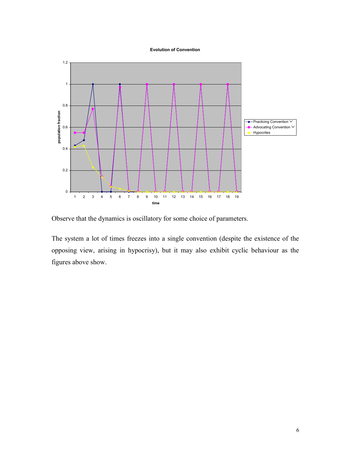#### **Evolution of Convention**



Observe that the dynamics is oscillatory for some choice of parameters.

The system a lot of times freezes into a single convention (despite the existence of the opposing view, arising in hypocrisy), but it may also exhibit cyclic behaviour as the figures above show.